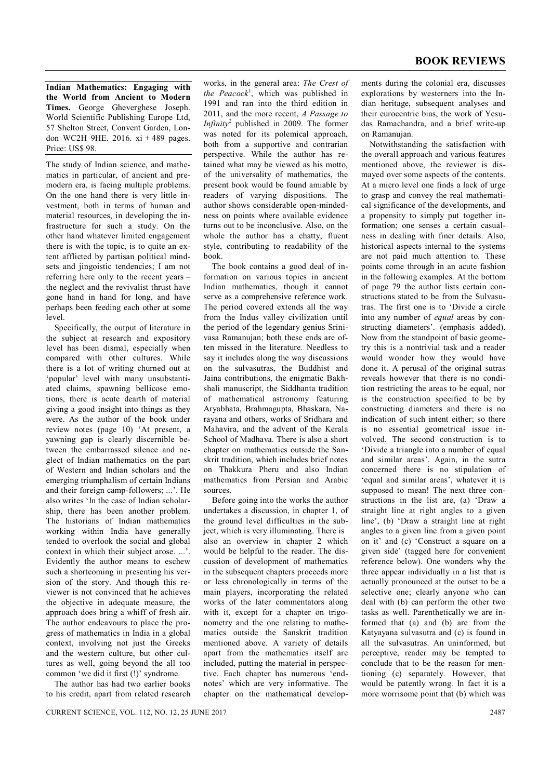**Indian Mathematics: Engaging with the World from Ancient to Modern Times.** George Gheverghese Joseph. World Scientific Publishing Europe Ltd, 57 Shelton Street, Convent Garden, London WC2H 9HE. 2016. xi + 489 pages. Price: US\$ 98.

The study of Indian science, and mathematics in particular, of ancient and premodern era, is facing multiple problems. On the one hand there is very little investment, both in terms of human and material resources, in developing the infrastructure for such a study. On the other hand whatever limited engagement there is with the topic, is to quite an extent afflicted by partisan political mindsets and jingoistic tendencies; I am not referring here only to the recent years – the neglect and the revivalist thrust have gone hand in hand for long, and have perhaps been feeding each other at some level.

Specifically, the output of literature in the subject at research and expository level has been dismal, especially when compared with other cultures. While there is a lot of writing churned out at 'popular' level with many unsubstantiated claims, spawning bellicose emotions, there is acute dearth of material giving a good insight into things as they were. As the author of the book under review notes (page 10) 'At present, a yawning gap is clearly discernible between the embarrassed silence and neglect of Indian mathematics on the part of Western and Indian scholars and the emerging triumphalism of certain Indians and their foreign camp-followers; ...'. He also writes 'In the case of Indian scholarship, there has been another problem. The historians of Indian mathematics working within India have generally tended to overlook the social and global context in which their subject arose. ...'. Evidently the author means to eschew such a shortcoming in presenting his version of the story. And though this reviewer is not convinced that he achieves the objective in adequate measure, the approach does bring a whiff of fresh air. The author endeavours to place the progress of mathematics in India in a global context, involving not just the Greeks and the western culture, but other cultures as well, going beyond the all too common 'we did it first (!)' syndrome.

The author has had two earlier books to his credit, apart from related research

works, in the general area: *The Crest of the Peacock*<sup>1</sup> , which was published in 1991 and ran into the third edition in 2011, and the more recent, *A Passage to Infinity*<sup>2</sup> published in 2009. The former was noted for its polemical approach, both from a supportive and contrarian perspective. While the author has retained what may be viewed as his motto, of the universality of mathematics, the present book would be found amiable by readers of varying dispositions. The author shows considerable open-mindedness on points where available evidence turns out to be inconclusive. Also, on the whole the author has a chatty, fluent style, contributing to readability of the book.

The book contains a good deal of information on various topics in ancient Indian mathematics, though it cannot serve as a comprehensive reference work. The period covered extends all the way from the Indus valley civilization until the period of the legendary genius Srinivasa Ramanujan; both these ends are often missed in the literature. Needless to say it includes along the way discussions on the sulvasutras, the Buddhist and Jaina contributions, the enigmatic Bakhshali manuscript, the Siddhanta tradition of mathematical astronomy featuring Aryabhata, Brahmagupta, Bhaskara, Narayana and others, works of Sridhara and Mahavira, and the advent of the Kerala School of Madhava. There is also a short chapter on mathematics outside the Sanskrit tradition, which includes brief notes on Thakkura Pheru and also Indian mathematics from Persian and Arabic sources.

Before going into the works the author undertakes a discussion, in chapter 1, of the ground level difficulties in the subject, which is very illuminating. There is also an overview in chapter 2 which would be helpful to the reader. The discussion of development of mathematics in the subsequent chapters proceeds more or less chronologically in terms of the main players, incorporating the related works of the later commentators along with it, except for a chapter on trigonometry and the one relating to mathematics outside the Sanskrit tradition mentioned above. A variety of details apart from the mathematics itself are included, putting the material in perspective. Each chapter has numerous 'endnotes' which are very informative. The chapter on the mathematical developments during the colonial era, discusses explorations by westerners into the Indian heritage, subsequent analyses and their eurocentric bias, the work of Yesudas Ramachandra, and a brief write-up on Ramanujan.

Notwithstanding the satisfaction with the overall approach and various features mentioned above, the reviewer is dismayed over some aspects of the contents. At a micro level one finds a lack of urge to grasp and convey the real mathematical significance of the developments, and a propensity to simply put together information; one senses a certain casualness in dealing with finer details. Also, historical aspects internal to the systems are not paid much attention to. These points come through in an acute fashion in the following examples. At the bottom of page 79 the author lists certain constructions stated to be from the Sulvasutras. The first one is to 'Divide a circle into any number of *equal* areas by constructing diameters'. (emphasis added). Now from the standpoint of basic geometry this is a nontrivial task and a reader would wonder how they would have done it. A perusal of the original sutras reveals however that there is no condition restricting the areas to be equal, nor is the construction specified to be by constructing diameters and there is no indication of such intent either; so there is no essential geometrical issue involved. The second construction is to 'Divide a triangle into a number of equal and similar areas'. Again, in the sutra concerned there is no stipulation of 'equal and similar areas', whatever it is supposed to mean! The next three constructions in the list are, (a) 'Draw a straight line at right angles to a given line', (b) 'Draw a straight line at right angles to a given line from a given point on it' and (c) 'Construct a square on a given side' (tagged here for convenient reference below). One wonders why the three appear individually in a list that is actually pronounced at the outset to be a selective one; clearly anyone who can deal with (b) can perform the other two tasks as well. Parenthetically we are informed that (a) and (b) are from the Katyayana sulvasutra and (c) is found in all the sulvasutras. An uninformed, but perceptive, reader may be tempted to conclude that to be the reason for mentioning (c) separately. However, that would be patently wrong. In fact it is a more worrisome point that (b) which was